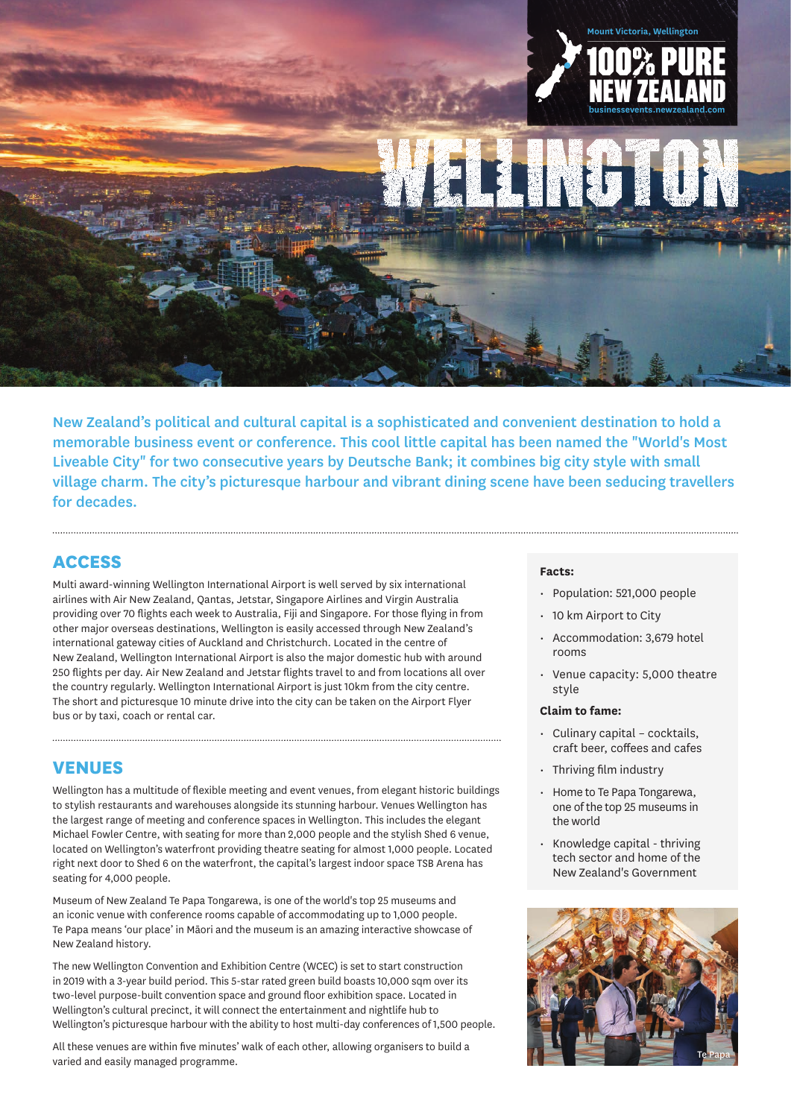

New Zealand's political and cultural capital is a sophisticated and convenient destination to hold a memorable business event or conference. This cool little capital has been named the "World's Most Liveable City" for two consecutive years by Deutsche Bank; it combines big city style with small village charm. The city's picturesque harbour and vibrant dining scene have been seducing travellers for decades.

# **ACCESS**

Multi award-winning Wellington International Airport is well served by six international airlines with Air New Zealand, Qantas, Jetstar, Singapore Airlines and Virgin Australia providing over 70 flights each week to Australia, Fiji and Singapore. For those flying in from other major overseas destinations, Wellington is easily accessed through New Zealand's international gateway cities of Auckland and Christchurch. Located in the centre of New Zealand, Wellington International Airport is also the major domestic hub with around 250 flights per day. Air New Zealand and Jetstar flights travel to and from locations all over the country regularly. Wellington International Airport is just 10km from the city centre. The short and picturesque 10 minute drive into the city can be taken on the Airport Flyer bus or by taxi, coach or rental car.

# **VENUES**

Wellington has a multitude of flexible meeting and event venues, from elegant historic buildings to stylish restaurants and warehouses alongside its stunning harbour. Venues Wellington has the largest range of meeting and conference spaces in Wellington. This includes the elegant Michael Fowler Centre, with seating for more than 2,000 people and the stylish Shed 6 venue, located on Wellington's waterfront providing theatre seating for almost 1,000 people. Located right next door to Shed 6 on the waterfront, the capital's largest indoor space TSB Arena has seating for 4,000 people.

Museum of New Zealand Te Papa Tongarewa, is one of the world's top 25 museums and an iconic venue with conference rooms capable of accommodating up to 1,000 people. Te Papa means 'our place' in Māori and the museum is an amazing interactive showcase of New Zealand history.

The new Wellington Convention and Exhibition Centre (WCEC) is set to start construction in 2019 with a 3-year build period. This 5-star rated green build boasts 10,000 sqm over its two-level purpose-built convention space and ground floor exhibition space. Located in Wellington's cultural precinct, it will connect the entertainment and nightlife hub to Wellington's picturesque harbour with the ability to host multi-day conferences of 1,500 people.

All these venues are within five minutes' walk of each other, allowing organisers to build a varied and easily managed programme.

#### **Facts:**

- Population: 521,000 people
- 10 km Airport to City
- Accommodation: 3,679 hotel rooms
- Venue capacity: 5,000 theatre style

#### **Claim to fame:**

- Culinary capital cocktails, craft beer, coffees and cafes
- Thriving film industry
- Home to Te Papa Tongarewa, one of the top 25 museums in the world
- Knowledge capital thriving tech sector and home of the New Zealand's Government